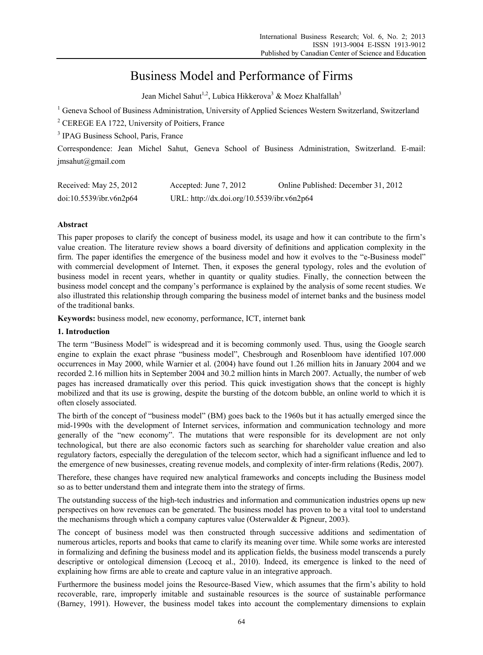# Business Model and Performance of Firms

Jean Michel Sahut<sup>1,2</sup>, Lubica Hikkerova<sup>3</sup> & Moez Khalfallah<sup>3</sup>

<sup>1</sup> Geneva School of Business Administration, University of Applied Sciences Western Switzerland, Switzerland

<sup>2</sup> CEREGE EA 1722, University of Poitiers, France

<sup>3</sup> IPAG Business School, Paris, France

Correspondence: Jean Michel Sahut, Geneva School of Business Administration, Switzerland. E-mail: jmsahut@gmail.com

| Received: May 25, 2012  | Accepted: June 7, 2012                     | Online Published: December 31, 2012 |  |  |
|-------------------------|--------------------------------------------|-------------------------------------|--|--|
| doi:10.5539/ibr.v6n2p64 | URL: http://dx.doi.org/10.5539/ibr.v6n2p64 |                                     |  |  |

# **Abstract**

This paper proposes to clarify the concept of business model, its usage and how it can contribute to the firm's value creation. The literature review shows a board diversity of definitions and application complexity in the firm. The paper identifies the emergence of the business model and how it evolves to the "e-Business model" with commercial development of Internet. Then, it exposes the general typology, roles and the evolution of business model in recent years, whether in quantity or quality studies. Finally, the connection between the business model concept and the company's performance is explained by the analysis of some recent studies. We also illustrated this relationship through comparing the business model of internet banks and the business model of the traditional banks.

**Keywords:** business model, new economy, performance, ICT, internet bank

## **1. Introduction**

The term "Business Model" is widespread and it is becoming commonly used. Thus, using the Google search engine to explain the exact phrase "business model", Chesbrough and Rosenbloom have identified 107.000 occurrences in May 2000, while Warnier et al. (2004) have found out 1.26 million hits in January 2004 and we recorded 2.16 million hits in September 2004 and 30.2 million hints in March 2007. Actually, the number of web pages has increased dramatically over this period. This quick investigation shows that the concept is highly mobilized and that its use is growing, despite the bursting of the dotcom bubble, an online world to which it is often closely associated.

The birth of the concept of "business model" (BM) goes back to the 1960s but it has actually emerged since the mid-1990s with the development of Internet services, information and communication technology and more generally of the "new economy". The mutations that were responsible for its development are not only technological, but there are also economic factors such as searching for shareholder value creation and also regulatory factors, especially the deregulation of the telecom sector, which had a significant influence and led to the emergence of new businesses, creating revenue models, and complexity of inter-firm relations (Redis, 2007).

Therefore, these changes have required new analytical frameworks and concepts including the Business model so as to better understand them and integrate them into the strategy of firms.

The outstanding success of the high-tech industries and information and communication industries opens up new perspectives on how revenues can be generated. The business model has proven to be a vital tool to understand the mechanisms through which a company captures value (Osterwalder & Pigneur, 2003).

The concept of business model was then constructed through successive additions and sedimentation of numerous articles, reports and books that came to clarify its meaning over time. While some works are interested in formalizing and defining the business model and its application fields, the business model transcends a purely descriptive or ontological dimension (Lecocq et al., 2010). Indeed, its emergence is linked to the need of explaining how firms are able to create and capture value in an integrative approach.

Furthermore the business model joins the Resource-Based View, which assumes that the firm's ability to hold recoverable, rare, improperly imitable and sustainable resources is the source of sustainable performance (Barney, 1991). However, the business model takes into account the complementary dimensions to explain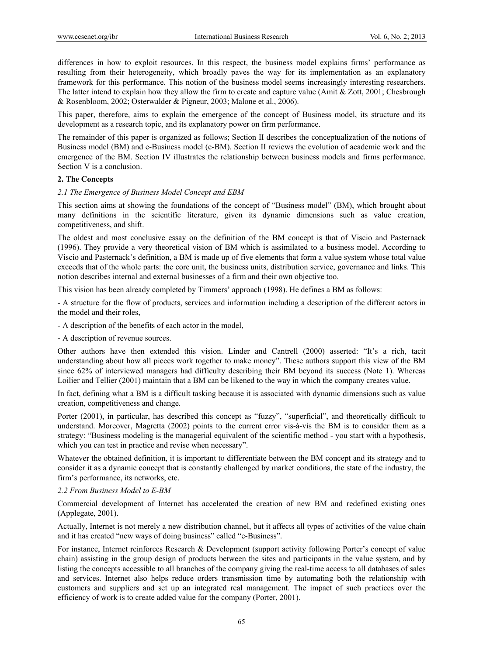differences in how to exploit resources. In this respect, the business model explains firms' performance as resulting from their heterogeneity, which broadly paves the way for its implementation as an explanatory framework for this performance. This notion of the business model seems increasingly interesting researchers. The latter intend to explain how they allow the firm to create and capture value (Amit & Zott, 2001; Chesbrough & Rosenbloom, 2002; Osterwalder & Pigneur, 2003; Malone et al., 2006).

This paper, therefore, aims to explain the emergence of the concept of Business model, its structure and its development as a research topic, and its explanatory power on firm performance.

The remainder of this paper is organized as follows; Section II describes the conceptualization of the notions of Business model (BM) and e-Business model (e-BM). Section II reviews the evolution of academic work and the emergence of the BM. Section IV illustrates the relationship between business models and firms performance. Section V is a conclusion.

## **2. The Concepts**

#### *2.1 The Emergence of Business Model Concept and EBM*

This section aims at showing the foundations of the concept of "Business model" (BM), which brought about many definitions in the scientific literature, given its dynamic dimensions such as value creation, competitiveness, and shift.

The oldest and most conclusive essay on the definition of the BM concept is that of Viscio and Pasternack (1996). They provide a very theoretical vision of BM which is assimilated to a business model. According to Viscio and Pasternack's definition, a BM is made up of five elements that form a value system whose total value exceeds that of the whole parts: the core unit, the business units, distribution service, governance and links. This notion describes internal and external businesses of a firm and their own objective too.

This vision has been already completed by Timmers' approach (1998). He defines a BM as follows:

- A structure for the flow of products, services and information including a description of the different actors in the model and their roles,

- A description of the benefits of each actor in the model,
- A description of revenue sources.

Other authors have then extended this vision. Linder and Cantrell (2000) asserted: "It's a rich, tacit understanding about how all pieces work together to make money". These authors support this view of the BM since 62% of interviewed managers had difficulty describing their BM beyond its success (Note 1). Whereas Loilier and Tellier (2001) maintain that a BM can be likened to the way in which the company creates value.

In fact, defining what a BM is a difficult tasking because it is associated with dynamic dimensions such as value creation, competitiveness and change.

Porter (2001), in particular, has described this concept as "fuzzy", "superficial", and theoretically difficult to understand. Moreover, Magretta (2002) points to the current error vis-à-vis the BM is to consider them as a strategy: "Business modeling is the managerial equivalent of the scientific method - you start with a hypothesis, which you can test in practice and revise when necessary".

Whatever the obtained definition, it is important to differentiate between the BM concept and its strategy and to consider it as a dynamic concept that is constantly challenged by market conditions, the state of the industry, the firm's performance, its networks, etc.

#### *2.2 From Business Model to E-BM*

Commercial development of Internet has accelerated the creation of new BM and redefined existing ones (Applegate, 2001).

Actually, Internet is not merely a new distribution channel, but it affects all types of activities of the value chain and it has created "new ways of doing business" called "e-Business".

For instance, Internet reinforces Research & Development (support activity following Porter's concept of value chain) assisting in the group design of products between the sites and participants in the value system, and by listing the concepts accessible to all branches of the company giving the real-time access to all databases of sales and services. Internet also helps reduce orders transmission time by automating both the relationship with customers and suppliers and set up an integrated real management. The impact of such practices over the efficiency of work is to create added value for the company (Porter, 2001).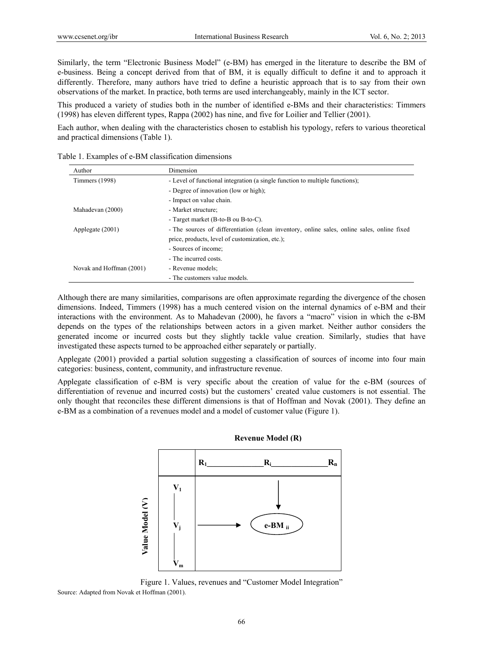Similarly, the term "Electronic Business Model" (e-BM) has emerged in the literature to describe the BM of e-business. Being a concept derived from that of BM, it is equally difficult to define it and to approach it differently. Therefore, many authors have tried to define a heuristic approach that is to say from their own observations of the market. In practice, both terms are used interchangeably, mainly in the ICT sector.

This produced a variety of studies both in the number of identified e-BMs and their characteristics: Timmers (1998) has eleven different types, Rappa (2002) has nine, and five for Loilier and Tellier (2001).

Each author, when dealing with the characteristics chosen to establish his typology, refers to various theoretical and practical dimensions (Table 1).

| Author                   | Dimension                                                                                   |  |  |  |  |
|--------------------------|---------------------------------------------------------------------------------------------|--|--|--|--|
| Timmers (1998)           | - Level of functional integration (a single function to multiple functions);                |  |  |  |  |
|                          | - Degree of innovation (low or high);                                                       |  |  |  |  |
|                          | - Impact on value chain.                                                                    |  |  |  |  |
| Mahadevan (2000)         | - Market structure;                                                                         |  |  |  |  |
|                          | - Target market (B-to-B ou B-to-C).                                                         |  |  |  |  |
| Applegate (2001)         | - The sources of differentiation (clean inventory, online sales, online sales, online fixed |  |  |  |  |
|                          | price, products, level of customization, etc.);                                             |  |  |  |  |
|                          | - Sources of income:                                                                        |  |  |  |  |
|                          | - The incurred costs.                                                                       |  |  |  |  |
| Novak and Hoffman (2001) | - Revenue models;                                                                           |  |  |  |  |
|                          | - The customers value models.                                                               |  |  |  |  |

Table 1. Examples of e-BM classification dimensions

Although there are many similarities, comparisons are often approximate regarding the divergence of the chosen dimensions. Indeed, Timmers (1998) has a much centered vision on the internal dynamics of e-BM and their interactions with the environment. As to Mahadevan (2000), he favors a "macro" vision in which the e-BM depends on the types of the relationships between actors in a given market. Neither author considers the generated income or incurred costs but they slightly tackle value creation. Similarly, studies that have investigated these aspects turned to be approached either separately or partially.

Applegate (2001) provided a partial solution suggesting a classification of sources of income into four main categories: business, content, community, and infrastructure revenue.

Applegate classification of e-BM is very specific about the creation of value for the e-BM (sources of differentiation of revenue and incurred costs) but the customers' created value customers is not essential. The only thought that reconciles these different dimensions is that of Hoffman and Novak (2001). They define an e-BM as a combination of a revenues model and a model of customer value (Figure 1).



**Revenue Model (R)**

Figure 1. Values, revenues and "Customer Model Integration" Source: Adapted from Novak et Hoffman (2001).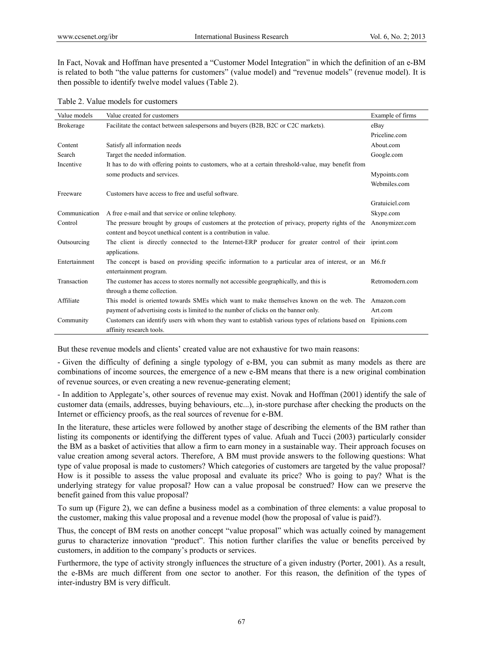In Fact, Novak and Hoffman have presented a "Customer Model Integration" in which the definition of an e-BM is related to both "the value patterns for customers" (value model) and "revenue models" (revenue model). It is then possible to identify twelve model values (Table 2).

|  | Table 2. Value models for customers |
|--|-------------------------------------|
|  |                                     |

| Value models     | Value created for customers                                                                                     | Example of firms |
|------------------|-----------------------------------------------------------------------------------------------------------------|------------------|
| <b>Brokerage</b> | Facilitate the contact between salespersons and buyers (B2B, B2C or C2C markets).                               | eBay             |
|                  |                                                                                                                 | Priceline.com    |
| Content          | Satisfy all information needs                                                                                   | About.com        |
| Search           | Target the needed information.                                                                                  | Google.com       |
| Incentive        | It has to do with offering points to customers, who at a certain threshold-value, may benefit from              |                  |
|                  | some products and services.                                                                                     | Mypoints.com     |
|                  |                                                                                                                 | Webmiles.com     |
| Freeware         | Customers have access to free and useful software.                                                              |                  |
|                  |                                                                                                                 | Gratuiciel.com   |
| Communication    | A free e-mail and that service or online telephony.                                                             | Skype.com        |
| Control          | The pressure brought by groups of customers at the protection of privacy, property rights of the Anonymizer.com |                  |
|                  | content and boycot unethical content is a contribution in value.                                                |                  |
| Outsourcing      | The client is directly connected to the Internet-ERP producer for greater control of their iprint.com           |                  |
|                  | applications.                                                                                                   |                  |
| Entertainment    | The concept is based on providing specific information to a particular area of interest, or an M6.fr            |                  |
|                  | entertainment program.                                                                                          |                  |
| Transaction      | The customer has access to stores normally not accessible geographically, and this is                           | Retromodern.com  |
|                  | through a theme collection.                                                                                     |                  |
| Affiliate        | This model is oriented towards SMEs which want to make themselves known on the web. The Amazon.com              |                  |
|                  | payment of advertising costs is limited to the number of clicks on the banner only.                             | Art.com          |
| Community        | Customers can identify users with whom they want to establish various types of relations based on Epinions.com  |                  |
|                  | affinity research tools.                                                                                        |                  |

But these revenue models and clients' created value are not exhaustive for two main reasons:

- Given the difficulty of defining a single typology of e-BM, you can submit as many models as there are combinations of income sources, the emergence of a new e-BM means that there is a new original combination of revenue sources, or even creating a new revenue-generating element;

- In addition to Applegate's, other sources of revenue may exist. Novak and Hoffman (2001) identify the sale of customer data (emails, addresses, buying behaviours, etc...), in-store purchase after checking the products on the Internet or efficiency proofs, as the real sources of revenue for e-BM.

In the literature, these articles were followed by another stage of describing the elements of the BM rather than listing its components or identifying the different types of value. Afuah and Tucci (2003) particularly consider the BM as a basket of activities that allow a firm to earn money in a sustainable way. Their approach focuses on value creation among several actors. Therefore, A BM must provide answers to the following questions: What type of value proposal is made to customers? Which categories of customers are targeted by the value proposal? How is it possible to assess the value proposal and evaluate its price? Who is going to pay? What is the underlying strategy for value proposal? How can a value proposal be construed? How can we preserve the benefit gained from this value proposal?

To sum up (Figure 2), we can define a business model as a combination of three elements: a value proposal to the customer, making this value proposal and a revenue model (how the proposal of value is paid?).

Thus, the concept of BM rests on another concept "value proposal" which was actually coined by management gurus to characterize innovation "product". This notion further clarifies the value or benefits perceived by customers, in addition to the company's products or services.

Furthermore, the type of activity strongly influences the structure of a given industry (Porter, 2001). As a result, the e-BMs are much different from one sector to another. For this reason, the definition of the types of inter-industry BM is very difficult.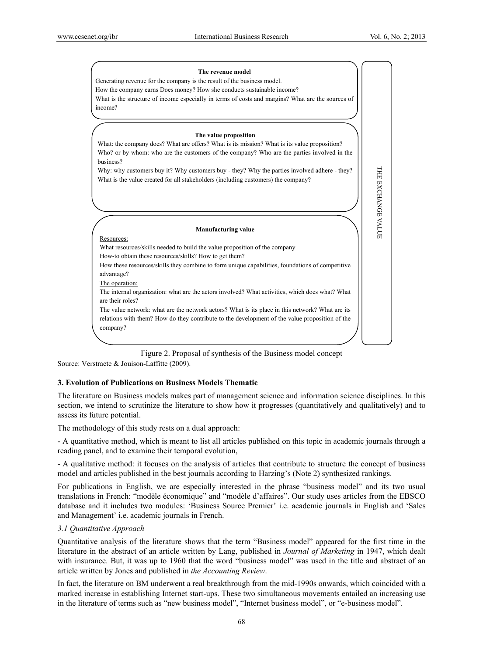

Figure 2. Proposal of synthesis of the Business model concept Source: Verstraete & Jouison-Laffitte (2009).

#### **3. Evolution of Publications on Business Models Thematic**

The literature on Business models makes part of management science and information science disciplines. In this section, we intend to scrutinize the literature to show how it progresses (quantitatively and qualitatively) and to assess its future potential.

The methodology of this study rests on a dual approach:

- A quantitative method, which is meant to list all articles published on this topic in academic journals through a reading panel, and to examine their temporal evolution,

- A qualitative method: it focuses on the analysis of articles that contribute to structure the concept of business model and articles published in the best journals according to Harzing's (Note 2) synthesized rankings.

For publications in English, we are especially interested in the phrase "business model" and its two usual translations in French: "modèle économique" and "modèle d'affaires". Our study uses articles from the EBSCO database and it includes two modules: 'Business Source Premier' i.e. academic journals in English and 'Sales and Management' i.e. academic journals in French.

#### *3.1 Quantitative Approach*

Quantitative analysis of the literature shows that the term "Business model" appeared for the first time in the literature in the abstract of an article written by Lang, published in *Journal of Marketing* in 1947, which dealt with insurance. But, it was up to 1960 that the word "business model" was used in the title and abstract of an article written by Jones and published in *the Accounting Review*.

In fact, the literature on BM underwent a real breakthrough from the mid-1990s onwards, which coincided with a marked increase in establishing Internet start-ups. These two simultaneous movements entailed an increasing use in the literature of terms such as "new business model", "Internet business model", or "e-business model".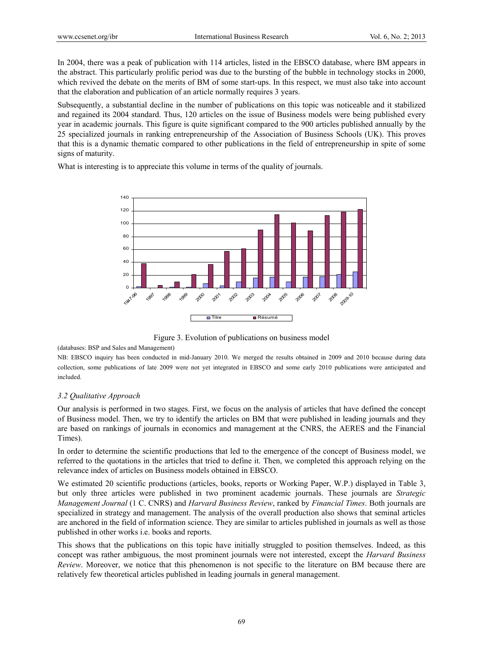In 2004, there was a peak of publication with 114 articles, listed in the EBSCO database, where BM appears in the abstract. This particularly prolific period was due to the bursting of the bubble in technology stocks in 2000, which revived the debate on the merits of BM of some start-ups. In this respect, we must also take into account that the elaboration and publication of an article normally requires 3 years.

Subsequently, a substantial decline in the number of publications on this topic was noticeable and it stabilized and regained its 2004 standard. Thus, 120 articles on the issue of Business models were being published every year in academic journals. This figure is quite significant compared to the 900 articles published annually by the 25 specialized journals in ranking entrepreneurship of the Association of Business Schools (UK). This proves that this is a dynamic thematic compared to other publications in the field of entrepreneurship in spite of some signs of maturity.

What is interesting is to appreciate this volume in terms of the quality of journals.



Figure 3. Evolution of publications on business model

(databases: BSP and Sales and Management)

NB: EBSCO inquiry has been conducted in mid-January 2010. We merged the results obtained in 2009 and 2010 because during data collection, some publications of late 2009 were not yet integrated in EBSCO and some early 2010 publications were anticipated and included.

#### *3.2 Qualitative Approach*

Our analysis is performed in two stages. First, we focus on the analysis of articles that have defined the concept of Business model. Then, we try to identify the articles on BM that were published in leading journals and they are based on rankings of journals in economics and management at the CNRS, the AERES and the Financial Times).

In order to determine the scientific productions that led to the emergence of the concept of Business model, we referred to the quotations in the articles that tried to define it. Then, we completed this approach relying on the relevance index of articles on Business models obtained in EBSCO.

We estimated 20 scientific productions (articles, books, reports or Working Paper, W.P.) displayed in Table 3, but only three articles were published in two prominent academic journals. These journals are *Strategic Management Journal* (1 C. CNRS) and *Harvard Business Review*, ranked by *Financial Times*. Both journals are specialized in strategy and management. The analysis of the overall production also shows that seminal articles are anchored in the field of information science. They are similar to articles published in journals as well as those published in other works i.e. books and reports.

This shows that the publications on this topic have initially struggled to position themselves. Indeed, as this concept was rather ambiguous, the most prominent journals were not interested, except the *Harvard Business Review*. Moreover, we notice that this phenomenon is not specific to the literature on BM because there are relatively few theoretical articles published in leading journals in general management.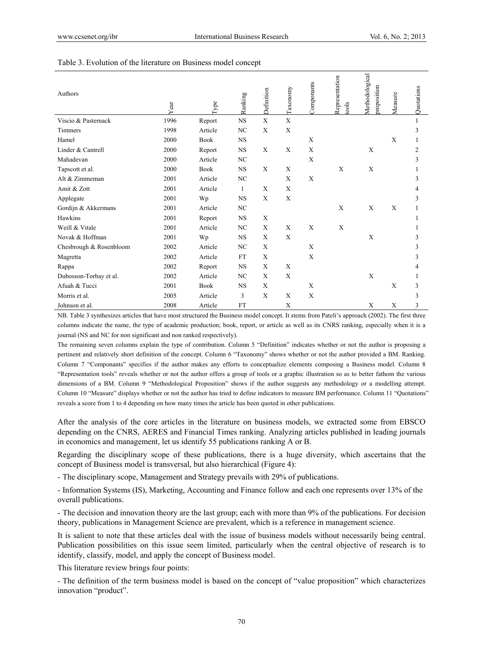| Authors                 | Year | Type        | Ranking        | Definition | Taxonomy    | Componants | Representation<br>tools | Methodological<br>proposition | Measure | Quotations |  |
|-------------------------|------|-------------|----------------|------------|-------------|------------|-------------------------|-------------------------------|---------|------------|--|
| Viscio & Pasternack     | 1996 | Report      | <b>NS</b>      | X          | $\mathbf X$ |            |                         |                               |         |            |  |
| Timmers                 | 1998 | Article     | NC             | X          | X           |            |                         |                               |         | 3          |  |
| Hamel                   | 2000 | <b>Book</b> | <b>NS</b>      |            |             | X          |                         |                               | X       |            |  |
| Linder & Cantrell       | 2000 | Report      | <b>NS</b>      | X          | X           | X          |                         | X                             |         | 2          |  |
| Mahadevan               | 2000 | Article     | NC             |            |             | X          |                         |                               |         | 3          |  |
| Tapscott et al.         | 2000 | <b>Book</b> | <b>NS</b>      | X          | X           |            | X                       | X                             |         |            |  |
| Alt & Zimmeman          | 2001 | Article     | N <sub>C</sub> |            | X           | X          |                         |                               |         | 3          |  |
| Amit & Zott             | 2001 | Article     | $\mathbf{1}$   | X          | X           |            |                         |                               |         | 4          |  |
| Applegate               | 2001 | Wp          | <b>NS</b>      | X          | X           |            |                         |                               |         | 3          |  |
| Gordijn & Akkermans     | 2001 | Article     | NC             |            |             |            | X                       | X                             | X       |            |  |
| Hawkins                 | 2001 | Report      | <b>NS</b>      | X          |             |            |                         |                               |         |            |  |
| Weill & Vitale          | 2001 | Article     | N <sub>C</sub> | X          | X           | X          | X                       |                               |         |            |  |
| Novak & Hoffman         | 2001 | Wp          | <b>NS</b>      | X          | X           |            |                         | $\mathbf X$                   |         | 3          |  |
| Chesbrough & Rosenbloom | 2002 | Article     | NC             | X          |             | X          |                         |                               |         | 3          |  |
| Magretta                | 2002 | Article     | <b>FT</b>      | X          |             | X          |                         |                               |         | 3          |  |
| Rappa                   | 2002 | Report      | <b>NS</b>      | X          | X           |            |                         |                               |         | 4          |  |
| Dubosson-Torbay et al.  | 2002 | Article     | N <sub>C</sub> | X          | X           |            |                         | X                             |         |            |  |
| Afuah & Tucci           | 2001 | <b>Book</b> | <b>NS</b>      | X          |             | X          |                         |                               | X       | 3          |  |
| Morris et al.           | 2005 | Article     | 3              | X          | X           | X          |                         |                               |         | 3          |  |
| Johnson et al.          | 2008 | Article     | FT             |            | X           |            |                         | X                             | X       | 3          |  |

#### Table 3. Evolution of the literature on Business model concept

NB. Table 3 synthesizes articles that have most structured the Business model concept. It stems from Pateli's approach (2002). The first three columns indicate the name, the type of academic production; book, report, or article as well as its CNRS ranking, especially when it is a journal (NS and NC for non significant and non ranked respectively).

The remaining seven columns explain the type of contribution. Column 5 "Definition" indicates whether or not the author is proposing a pertinent and relatively short definition of the concept. Column 6 "Taxonomy" shows whether or not the author provided a BM. Ranking. Column 7 "Componants" specifies if the author makes any efforts to conceptualize elements composing a Business model. Column 8 "Representation tools" reveals whether or not the author offers a group of tools or a graphic illustration so as to better fathom the various dimensions of a BM. Column 9 "Methodological Proposition" shows if the author suggests any methodology or a modelling attempt. Column 10 "Measure" displays whether or not the author has tried to define indicators to measure BM performance. Column 11 "Quotations" reveals a score from 1 to 4 depending on how many times the article has been quoted in other publications.

After the analysis of the core articles in the literature on business models, we extracted some from EBSCO depending on the CNRS, AERES and Financial Times ranking. Analyzing articles published in leading journals in economics and management, let us identify 55 publications ranking A or B.

Regarding the disciplinary scope of these publications, there is a huge diversity, which ascertains that the concept of Business model is transversal, but also hierarchical (Figure 4):

- The disciplinary scope, Management and Strategy prevails with 29% of publications.

- Information Systems (IS), Marketing, Accounting and Finance follow and each one represents over 13% of the overall publications.

- The decision and innovation theory are the last group; each with more than 9% of the publications. For decision theory, publications in Management Science are prevalent, which is a reference in management science.

It is salient to note that these articles deal with the issue of business models without necessarily being central. Publication possibilities on this issue seem limited, particularly when the central objective of research is to identify, classify, model, and apply the concept of Business model.

This literature review brings four points:

- The definition of the term business model is based on the concept of "value proposition" which characterizes innovation "product".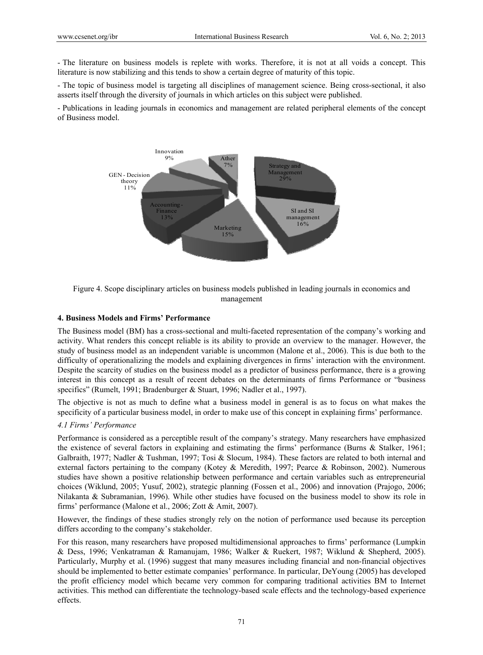- The literature on business models is replete with works. Therefore, it is not at all voids a concept. This literature is now stabilizing and this tends to show a certain degree of maturity of this topic.

- The topic of business model is targeting all disciplines of management science. Being cross-sectional, it also asserts itself through the diversity of journals in which articles on this subject were published.

- Publications in leading journals in economics and management are related peripheral elements of the concept of Business model.



Figure 4. Scope disciplinary articles on business models published in leading journals in economics and management

#### **4. Business Models and Firms' Performance**

The Business model (BM) has a cross-sectional and multi-faceted representation of the company's working and activity. What renders this concept reliable is its ability to provide an overview to the manager. However, the study of business model as an independent variable is uncommon (Malone et al., 2006). This is due both to the difficulty of operationalizing the models and explaining divergences in firms' interaction with the environment. Despite the scarcity of studies on the business model as a predictor of business performance, there is a growing interest in this concept as a result of recent debates on the determinants of firms Performance or "business specifics" (Rumelt, 1991; Bradenburger & Stuart, 1996; Nadler et al., 1997).

The objective is not as much to define what a business model in general is as to focus on what makes the specificity of a particular business model, in order to make use of this concept in explaining firms' performance.

## *4.1 Firms' Performance*

Performance is considered as a perceptible result of the company's strategy. Many researchers have emphasized the existence of several factors in explaining and estimating the firms' performance (Burns & Stalker, 1961; Galbraith, 1977; Nadler & Tushman, 1997; Tosi & Slocum, 1984). These factors are related to both internal and external factors pertaining to the company (Kotey & Meredith, 1997; Pearce & Robinson, 2002). Numerous studies have shown a positive relationship between performance and certain variables such as entrepreneurial choices (Wiklund, 2005; Yusuf, 2002), strategic planning (Fossen et al., 2006) and innovation (Prajogo, 2006; Nilakanta & Subramanian, 1996). While other studies have focused on the business model to show its role in firms' performance (Malone et al., 2006; Zott & Amit, 2007).

However, the findings of these studies strongly rely on the notion of performance used because its perception differs according to the company's stakeholder.

For this reason, many researchers have proposed multidimensional approaches to firms' performance (Lumpkin & Dess, 1996; Venkatraman & Ramanujam, 1986; Walker & Ruekert, 1987; Wiklund & Shepherd, 2005). Particularly, Murphy et al. (1996) suggest that many measures including financial and non-financial objectives should be implemented to better estimate companies' performance. In particular, DeYoung (2005) has developed the profit efficiency model which became very common for comparing traditional activities BM to Internet activities. This method can differentiate the technology-based scale effects and the technology-based experience effects.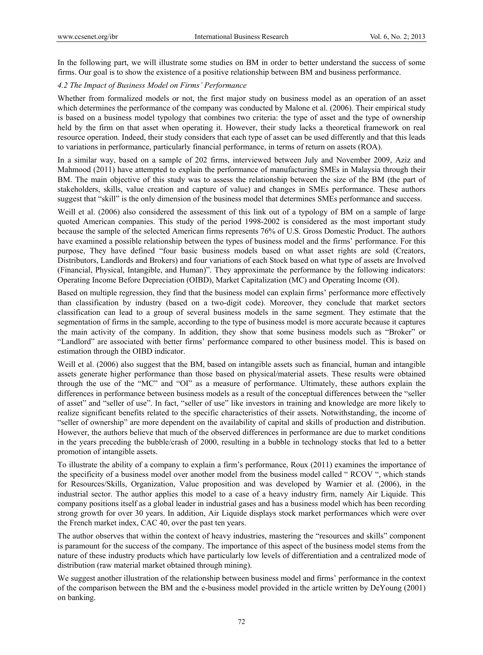In the following part, we will illustrate some studies on BM in order to better understand the success of some firms. Our goal is to show the existence of a positive relationship between BM and business performance.

## *4.2 The Impact of Business Model on Firms' Performance*

Whether from formalized models or not, the first major study on business model as an operation of an asset which determines the performance of the company was conducted by Malone et al. (2006). Their empirical study is based on a business model typology that combines two criteria: the type of asset and the type of ownership held by the firm on that asset when operating it. However, their study lacks a theoretical framework on real resource operation. Indeed, their study considers that each type of asset can be used differently and that this leads to variations in performance, particularly financial performance, in terms of return on assets (ROA).

In a similar way, based on a sample of 202 firms, interviewed between July and November 2009, Aziz and Mahmood (2011) have attempted to explain the performance of manufacturing SMEs in Malaysia through their BM. The main objective of this study was to assess the relationship between the size of the BM (the part of stakeholders, skills, value creation and capture of value) and changes in SMEs performance. These authors suggest that "skill" is the only dimension of the business model that determines SMEs performance and success.

Weill et al. (2006) also considered the assessment of this link out of a typology of BM on a sample of large quoted American companies. This study of the period 1998-2002 is considered as the most important study because the sample of the selected American firms represents 76% of U.S. Gross Domestic Product. The authors have examined a possible relationship between the types of business model and the firms' performance. For this purpose, They have defined "four basic business models based on what asset rights are sold (Creators, Distributors, Landlords and Brokers) and four variations of each Stock based on what type of assets are Involved (Financial, Physical, Intangible, and Human)". They approximate the performance by the following indicators: Operating Income Before Depreciation (OIBD), Market Capitalization (MC) and Operating Income (OI).

Based on multiple regression, they find that the business model can explain firms' performance more effectively than classification by industry (based on a two-digit code). Moreover, they conclude that market sectors classification can lead to a group of several business models in the same segment. They estimate that the segmentation of firms in the sample, according to the type of business model is more accurate because it captures the main activity of the company. In addition, they show that some business models such as "Broker" or "Landlord" are associated with better firms' performance compared to other business model. This is based on estimation through the OIBD indicator.

Weill et al. (2006) also suggest that the BM, based on intangible assets such as financial, human and intangible assets generate higher performance than those based on physical/material assets. These results were obtained through the use of the "MC" and "OI" as a measure of performance. Ultimately, these authors explain the differences in performance between business models as a result of the conceptual differences between the "seller of asset" and "seller of use". In fact, "seller of use" like investors in training and knowledge are more likely to realize significant benefits related to the specific characteristics of their assets. Notwithstanding, the income of "seller of ownership" are more dependent on the availability of capital and skills of production and distribution. However, the authors believe that much of the observed differences in performance are due to market conditions in the years preceding the bubble/crash of 2000, resulting in a bubble in technology stocks that led to a better promotion of intangible assets.

To illustrate the ability of a company to explain a firm's performance, Roux (2011) examines the importance of the specificity of a business model over another model from the business model called " RCOV ", which stands for Resources/Skills, Organization, Value proposition and was developed by Warnier et al. (2006), in the industrial sector. The author applies this model to a case of a heavy industry firm, namely Air Liquide. This company positions itself as a global leader in industrial gases and has a business model which has been recording strong growth for over 30 years. In addition, Air Liquide displays stock market performances which were over the French market index, CAC 40, over the past ten years.

The author observes that within the context of heavy industries, mastering the "resources and skills" component is paramount for the success of the company. The importance of this aspect of the business model stems from the nature of these industry products which have particularly low levels of differentiation and a centralized mode of distribution (raw material market obtained through mining).

We suggest another illustration of the relationship between business model and firms' performance in the context of the comparison between the BM and the e-business model provided in the article written by DeYoung (2001) on banking.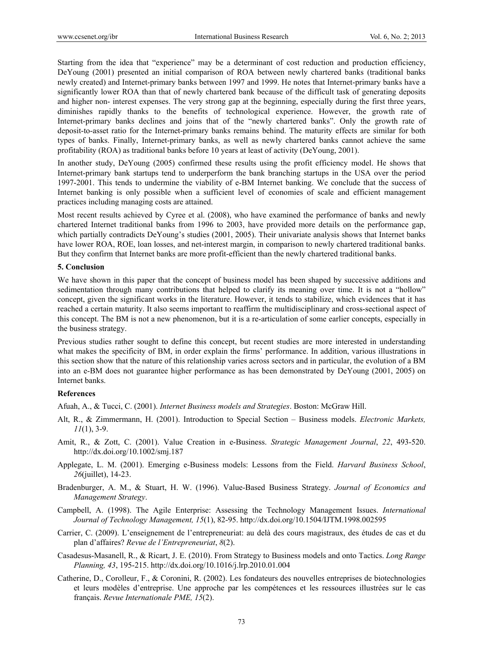Starting from the idea that "experience" may be a determinant of cost reduction and production efficiency, DeYoung (2001) presented an initial comparison of ROA between newly chartered banks (traditional banks newly created) and Internet-primary banks between 1997 and 1999. He notes that Internet-primary banks have a significantly lower ROA than that of newly chartered bank because of the difficult task of generating deposits and higher non- interest expenses. The very strong gap at the beginning, especially during the first three years, diminishes rapidly thanks to the benefits of technological experience. However, the growth rate of Internet-primary banks declines and joins that of the "newly chartered banks". Only the growth rate of deposit-to-asset ratio for the Internet-primary banks remains behind. The maturity effects are similar for both types of banks. Finally, Internet-primary banks, as well as newly chartered banks cannot achieve the same profitability (ROA) as traditional banks before 10 years at least of activity (DeYoung, 2001).

In another study, DeYoung (2005) confirmed these results using the profit efficiency model. He shows that Internet-primary bank startups tend to underperform the bank branching startups in the USA over the period 1997-2001. This tends to undermine the viability of e-BM Internet banking. We conclude that the success of Internet banking is only possible when a sufficient level of economies of scale and efficient management practices including managing costs are attained.

Most recent results achieved by Cyree et al. (2008), who have examined the performance of banks and newly chartered Internet traditional banks from 1996 to 2003, have provided more details on the performance gap, which partially contradicts DeYoung's studies (2001, 2005). Their univariate analysis shows that Internet banks have lower ROA, ROE, loan losses, and net-interest margin, in comparison to newly chartered traditional banks. But they confirm that Internet banks are more profit-efficient than the newly chartered traditional banks.

#### **5. Conclusion**

We have shown in this paper that the concept of business model has been shaped by successive additions and sedimentation through many contributions that helped to clarify its meaning over time. It is not a "hollow" concept, given the significant works in the literature. However, it tends to stabilize, which evidences that it has reached a certain maturity. It also seems important to reaffirm the multidisciplinary and cross-sectional aspect of this concept. The BM is not a new phenomenon, but it is a re-articulation of some earlier concepts, especially in the business strategy.

Previous studies rather sought to define this concept, but recent studies are more interested in understanding what makes the specificity of BM, in order explain the firms' performance. In addition, various illustrations in this section show that the nature of this relationship varies across sectors and in particular, the evolution of a BM into an e-BM does not guarantee higher performance as has been demonstrated by DeYoung (2001, 2005) on Internet banks.

## **References**

Afuah, A., & Tucci, C. (2001). *Internet Business models and Strategies*. Boston: McGraw Hill.

- Alt, R., & Zimmermann, H. (2001). Introduction to Special Section Business models. *Electronic Markets, 11*(1), 3-9.
- Amit, R., & Zott, C. (2001). Value Creation in e-Business. *Strategic Management Journal*, *22*, 493-520. http://dx.doi.org/10.1002/smj.187
- Applegate, L. M. (2001). Emerging e-Business models: Lessons from the Field. *Harvard Business School*, *26*(juillet), 14-23.
- Bradenburger, A. M., & Stuart, H. W. (1996). Value-Based Business Strategy. *Journal of Economics and Management Strategy*.
- Campbell, A. (1998). The Agile Enterprise: Assessing the Technology Management Issues. *International Journal of Technology Management, 15*(1), 82-95. http://dx.doi.org/10.1504/IJTM.1998.002595
- Carrier, C. (2009). L'enseignement de l'entrepreneuriat: au delà des cours magistraux, des études de cas et du plan d'affaires? *Revue de l'Entrepreneuriat*, *8*(2).
- Casadesus-Masanell, R., & Ricart, J. E. (2010). From Strategy to Business models and onto Tactics. *Long Range Planning, 43*, 195-215. http://dx.doi.org/10.1016/j.lrp.2010.01.004
- Catherine, D., Corolleur, F., & Coronini, R. (2002). Les fondateurs des nouvelles entreprises de biotechnologies et leurs modèles d'entreprise. Une approche par les compétences et les ressources illustrées sur le cas français. *Revue Internationale PME, 15*(2).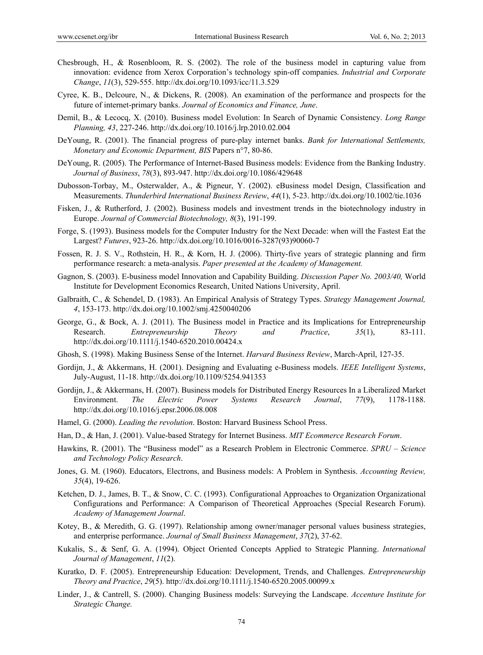- Chesbrough, H., & Rosenbloom, R. S. (2002). The role of the business model in capturing value from innovation: evidence from Xerox Corporation's technology spin-off companies. *Industrial and Corporate Change*, *11*(3), 529-555. http://dx.doi.org/10.1093/icc/11.3.529
- Cyree, K. B., Delcoure, N., & Dickens, R. (2008). An examination of the performance and prospects for the future of internet-primary banks. *Journal of Economics and Finance, June*.
- Demil, B., & Lecocq, X. (2010). Business model Evolution: In Search of Dynamic Consistency. *Long Range Planning, 43*, 227-246. http://dx.doi.org/10.1016/j.lrp.2010.02.004
- DeYoung, R. (2001). The financial progress of pure-play internet banks. *Bank for International Settlements, Monetary and Economic Department, BIS* Papers n°7, 80-86.
- DeYoung, R. (2005). The Performance of Internet-Based Business models: Evidence from the Banking Industry. *Journal of Business*, *78*(3), 893-947. http://dx.doi.org/10.1086/429648
- Dubosson-Torbay, M., Osterwalder, A., & Pigneur, Y. (2002). eBusiness model Design, Classification and Measurements. *Thunderbird International Business Review*, *44*(1), 5-23. http://dx.doi.org/10.1002/tie.1036
- Fisken, J., & Rutherford, J. (2002). Business models and investment trends in the biotechnology industry in Europe. *Journal of Commercial Biotechnology, 8*(3), 191-199.
- Forge, S. (1993). Business models for the Computer Industry for the Next Decade: when will the Fastest Eat the Largest? *Futures*, 923-26. http://dx.doi.org/10.1016/0016-3287(93)90060-7
- Fossen, R. J. S. V., Rothstein, H. R., & Korn, H. J. (2006). Thirty-five years of strategic planning and firm performance research: a meta-analysis. *Paper presented at the Academy of Management.*
- Gagnon, S. (2003). E-business model Innovation and Capability Building. *Discussion Paper No. 2003/40,* World Institute for Development Economics Research, United Nations University, April.
- Galbraith, C., & Schendel, D. (1983). An Empirical Analysis of Strategy Types. *Strategy Management Journal, 4*, 153-173. http://dx.doi.org/10.1002/smj.4250040206
- George, G., & Bock, A. J. (2011). The Business model in Practice and its Implications for Entrepreneurship Research. *Entrepreneurship Theory and Practice*, *35*(1), 83-111. http://dx.doi.org/10.1111/j.1540-6520.2010.00424.x
- Ghosh, S. (1998). Making Business Sense of the Internet. *Harvard Business Review*, March-April, 127-35.
- Gordijn, J., & Akkermans, H. (2001). Designing and Evaluating e-Business models. *IEEE Intelligent Systems*, July-August, 11-18. http://dx.doi.org/10.1109/5254.941353
- Gordijn, J., & Akkermans, H. (2007). Business models for Distributed Energy Resources In a Liberalized Market Environment. *The Electric Power Systems Research Journal*, *77*(9), 1178-1188. http://dx.doi.org/10.1016/j.epsr.2006.08.008
- Hamel, G. (2000). *Leading the revolution*. Boston: Harvard Business School Press.
- Han, D., & Han, J. (2001). Value-based Strategy for Internet Business. *MIT Ecommerce Research Forum*.
- Hawkins, R. (2001). The "Business model" as a Research Problem in Electronic Commerce. *SPRU Science and Technology Policy Research*.
- Jones, G. M. (1960). Educators, Electrons, and Business models: A Problem in Synthesis. *Accounting Review, 35*(4), 19-626.
- Ketchen, D. J., James, B. T., & Snow, C. C. (1993). Configurational Approaches to Organization Organizational Configurations and Performance: A Comparison of Theoretical Approaches (Special Research Forum). *Academy of Management Journal*.
- Kotey, B., & Meredith, G. G. (1997). Relationship among owner/manager personal values business strategies, and enterprise performance. *Journal of Small Business Management*, *37*(2), 37-62.
- Kukalis, S., & Senf, G. A. (1994). Object Oriented Concepts Applied to Strategic Planning. *International Journal of Management*, *11*(2).
- Kuratko, D. F. (2005). Entrepreneurship Education: Development, Trends, and Challenges. *Entrepreneurship Theory and Practice*, *29*(5). http://dx.doi.org/10.1111/j.1540-6520.2005.00099.x
- Linder, J., & Cantrell, S. (2000). Changing Business models: Surveying the Landscape. *Accenture Institute for Strategic Change.*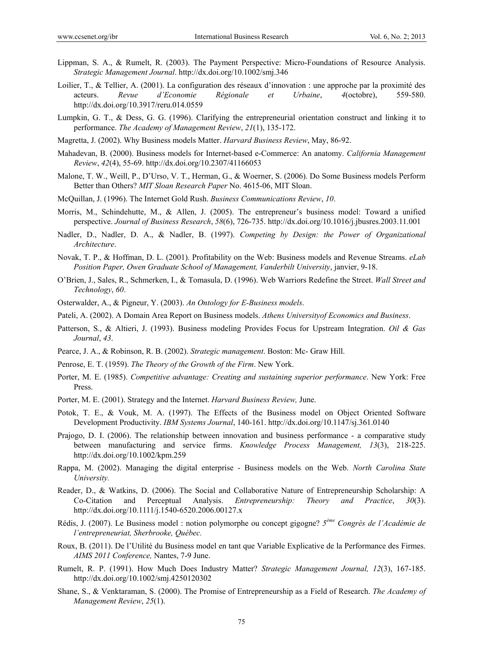- Lippman, S. A., & Rumelt, R. (2003). The Payment Perspective: Micro-Foundations of Resource Analysis. *Strategic Management Journal*. http://dx.doi.org/10.1002/smj.346
- Loilier, T., & Tellier, A. (2001). La configuration des réseaux d'innovation : une approche par la proximité des acteurs. *Revue d'Economie Régionale et Urbaine*, *4*(octobre), 559-580. http://dx.doi.org/10.3917/reru.014.0559
- Lumpkin, G. T., & Dess, G. G. (1996). Clarifying the entrepreneurial orientation construct and linking it to performance. *The Academy of Management Review*, *21*(1), 135-172.
- Magretta, J. (2002). Why Business models Matter. *Harvard Business Review*, May, 86-92.
- Mahadevan, B. (2000). Business models for Internet-based e-Commerce: An anatomy. *California Management Review*, *42*(4), 55-69. http://dx.doi.org/10.2307/41166053
- Malone, T. W., Weill, P., D'Urso, V. T., Herman, G., & Woerner, S. (2006). Do Some Business models Perform Better than Others? *MIT Sloan Research Paper* No. 4615-06, MIT Sloan.
- McQuillan, J. (1996). The Internet Gold Rush. *Business Communications Review*, *10*.
- Morris, M., Schindehutte, M., & Allen, J. (2005). The entrepreneur's business model: Toward a unified perspective. *Journal of Business Research*, *58*(6), 726-735. http://dx.doi.org/10.1016/j.jbusres.2003.11.001
- Nadler, D., Nadler, D. A., & Nadler, B. (1997). *Competing by Design: the Power of Organizational Architecture*.
- Novak, T. P., & Hoffman, D. L. (2001). Profitability on the Web: Business models and Revenue Streams. *eLab Position Paper, Owen Graduate School of Management, Vanderbilt University*, janvier, 9-18.
- O'Brien, J., Sales, R., Schmerken, I., & Tomasula, D. (1996). Web Warriors Redefine the Street. *Wall Street and Technology*, *60*.
- Osterwalder, A., & Pigneur, Y. (2003). *An Ontology for E-Business models*.
- Pateli, A. (2002). A Domain Area Report on Business models. *Athens Universityof Economics and Business*.
- Patterson, S., & Altieri, J. (1993). Business modeling Provides Focus for Upstream Integration. *Oil & Gas Journal*, *43*.
- Pearce, J. A., & Robinson, R. B. (2002). *Strategic management*. Boston: Mc- Graw Hill.
- Penrose, E. T. (1959). *The Theory of the Growth of the Firm*. New York.
- Porter, M. E. (1985). *Competitive advantage: Creating and sustaining superior performance*. New York: Free Press.
- Porter, M. E. (2001). Strategy and the Internet. *Harvard Business Review,* June.
- Potok, T. E., & Vouk, M. A. (1997). The Effects of the Business model on Object Oriented Software Development Productivity. *IBM Systems Journal*, 140-161. http://dx.doi.org/10.1147/sj.361.0140
- Prajogo, D. I. (2006). The relationship between innovation and business performance a comparative study between manufacturing and service firms. *Knowledge Process Management, 13*(3), 218-225. http://dx.doi.org/10.1002/kpm.259
- Rappa, M. (2002). Managing the digital enterprise Business models on the Web. *North Carolina State University.*
- Reader, D., & Watkins, D. (2006). The Social and Collaborative Nature of Entrepreneurship Scholarship: A Co-Citation and Perceptual Analysis. *Entrepreneurship: Theory and Practice*, *30*(3). http://dx.doi.org/10.1111/j.1540-6520.2006.00127.x
- Rédis, J. (2007). Le Business model : notion polymorphe ou concept gigogne? *5ème Congrès de l'Académie de l'entrepreneuriat, Sherbrooke, Québec.*
- Roux, B. (2011). De l'Utilité du Business model en tant que Variable Explicative de la Performance des Firmes. *AIMS 2011 Conference,* Nantes, 7-9 June.
- Rumelt, R. P. (1991). How Much Does Industry Matter? *Strategic Management Journal, 12*(3), 167-185. http://dx.doi.org/10.1002/smj.4250120302
- Shane, S., & Venktaraman, S. (2000). The Promise of Entrepreneurship as a Field of Research. *The Academy of Management Review*, *25*(1).